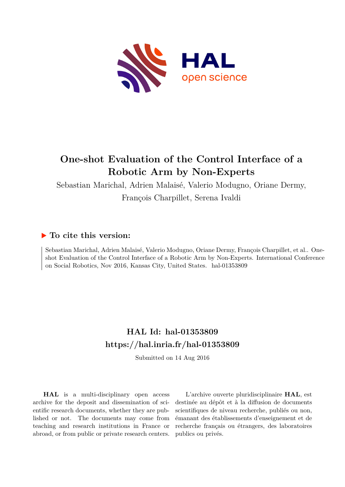

# **One-shot Evaluation of the Control Interface of a Robotic Arm by Non-Experts**

Sebastian Marichal, Adrien Malaisé, Valerio Modugno, Oriane Dermy,

François Charpillet, Serena Ivaldi

## **To cite this version:**

Sebastian Marichal, Adrien Malaisé, Valerio Modugno, Oriane Dermy, François Charpillet, et al.. Oneshot Evaluation of the Control Interface of a Robotic Arm by Non-Experts. International Conference on Social Robotics, Nov 2016, Kansas City, United States. hal-01353809

# **HAL Id: hal-01353809 <https://hal.inria.fr/hal-01353809>**

Submitted on 14 Aug 2016

**HAL** is a multi-disciplinary open access archive for the deposit and dissemination of scientific research documents, whether they are published or not. The documents may come from teaching and research institutions in France or abroad, or from public or private research centers.

L'archive ouverte pluridisciplinaire **HAL**, est destinée au dépôt et à la diffusion de documents scientifiques de niveau recherche, publiés ou non, émanant des établissements d'enseignement et de recherche français ou étrangers, des laboratoires publics ou privés.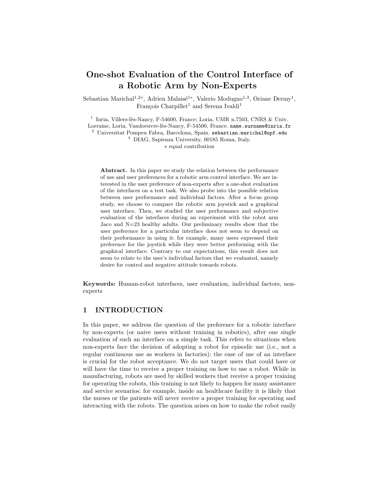## One-shot Evaluation of the Control Interface of a Robotic Arm by Non-Experts

Sebastian Marichal<sup>1,2\*</sup>, Adrien Malaisé<sup>1\*</sup>, Valerio Modugno<sup>1,3</sup>, Oriane Dermy<sup>1</sup>, François Charpillet<sup>1</sup> and Serena Ivaldi<sup>1</sup>

<sup>1</sup> Inria, Villers-lès-Nancy, F-54600, France; Loria, UMR n.7503, CNRS & Univ.

Lorraine, Loria, Vandoeuvre-lès-Nancy, F-54500, France. name.surname@inria.fr <sup>2</sup> Universitat Pompeu Fabra, Barcelona, Spain. sebastian.marichal@upf.edu

<sup>3</sup> DIAG, Sapienza University, 00185 Roma, Italy.

∗ equal contribution

Abstract. In this paper we study the relation between the performance of use and user preferences for a robotic arm control interface. We are interested in the user preference of non-experts after a one-shot evaluation of the interfaces on a test task. We also probe into the possible relation between user performance and individual factors. After a focus group study, we choose to compare the robotic arm joystick and a graphical user interface. Then, we studied the user performance and subjective evaluation of the interfaces during an experiment with the robot arm Jaco and N=23 healthy adults. Our preliminary results show that the user preference for a particular interface does not seem to depend on their performance in using it: for example, many users expressed their preference for the joystick while they were better performing with the graphical interface. Contrary to our expectations, this result does not seem to relate to the user's individual factors that we evaluated, namely desire for control and negative attitude towards robots.

Keywords: Human-robot interfaces, user evaluation, individual factors, nonexperts

## 1 INTRODUCTION

In this paper, we address the question of the preference for a robotic interface by non-experts (or naive users without training in robotics), after one single evaluation of such an interface on a simple task. This refers to situations when non-experts face the decision of adopting a robot for episodic use (i.e., not a regular continuous use as workers in factories): the ease of use of an interface is crucial for the robot acceptance. We do not target users that could have or will have the time to receive a proper training on how to use a robot. While in manufacturing, robots are used by skilled workers that receive a proper training for operating the robots, this training is not likely to happen for many assistance and service scenarios: for example, inside an healthcare facility it is likely that the nurses or the patients will never receive a proper training for operating and interacting with the robots. The question arises on how to make the robot easily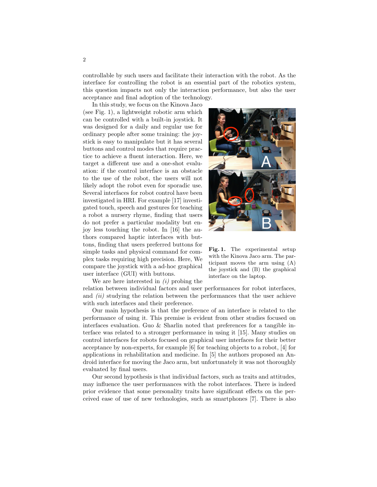controllable by such users and facilitate their interaction with the robot. As the interface for controlling the robot is an essential part of the robotics system, this question impacts not only the interaction performance, but also the user acceptance and final adoption of the technology.

In this study, we focus on the Kinova Jaco (see Fig. 1), a lightweight robotic arm which can be controlled with a built-in joystick. It was designed for a daily and regular use for ordinary people after some training: the joystick is easy to manipulate but it has several buttons and control modes that require practice to achieve a fluent interaction. Here, we target a different use and a one-shot evaluation: if the control interface is an obstacle to the use of the robot, the users will not likely adopt the robot even for sporadic use. Several interfaces for robot control have been investigated in HRI. For example [17] investigated touch, speech and gestures for teaching a robot a nursery rhyme, finding that users do not prefer a particular modality but enjoy less touching the robot. In [16] the authors compared haptic interfaces with buttons, finding that users preferred buttons for simple tasks and physical command for complex tasks requiring high precision. Here, We compare the joystick with a ad-hoc graphical user interface (GUI) with buttons.



Fig. 1. The experimental setup with the Kinova Jaco arm. The participant moves the arm using (A) the joystick and (B) the graphical interface on the laptop.

We are here interested in  $(i)$  probing the relation between individual factors and user performances for robot interfaces, and *(ii)* studying the relation between the performances that the user achieve with such interfaces and their preference.

Our main hypothesis is that the preference of an interface is related to the performance of using it. This premise is evident from other studies focused on interfaces evaluation. Guo & Sharlin noted that preferences for a tangible interface was related to a stronger performance in using it [15]. Many studies on control interfaces for robots focused on graphical user interfaces for their better acceptance by non-experts, for example [6] for teaching objects to a robot, [4] for applications in rehabilitation and medicine. In [5] the authors proposed an Android interface for moving the Jaco arm, but unfortunately it was not thoroughly evaluated by final users.

Our second hypothesis is that individual factors, such as traits and attitudes, may influence the user performances with the robot interfaces. There is indeed prior evidence that some personality traits have significant effects on the perceived ease of use of new technologies, such as smartphones [7]. There is also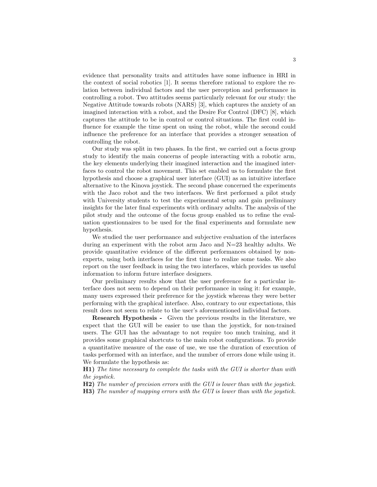evidence that personality traits and attitudes have some influence in HRI in the context of social robotics [1]. It seems therefore rational to explore the relation between individual factors and the user perception and performance in controlling a robot. Two attitudes seems particularly relevant for our study: the Negative Attitude towards robots (NARS) [3], which captures the anxiety of an imagined interaction with a robot, and the Desire For Control (DFC) [8], which captures the attitude to be in control or control situations. The first could influence for example the time spent on using the robot, while the second could influence the preference for an interface that provides a stronger sensation of controlling the robot.

Our study was split in two phases. In the first, we carried out a focus group study to identify the main concerns of people interacting with a robotic arm, the key elements underlying their imagined interaction and the imagined interfaces to control the robot movement. This set enabled us to formulate the first hypothesis and choose a graphical user interface (GUI) as an intuitive interface alternative to the Kinova joystick. The second phase concerned the experiments with the Jaco robot and the two interfaces. We first performed a pilot study with University students to test the experimental setup and gain preliminary insights for the later final experiments with ordinary adults. The analysis of the pilot study and the outcome of the focus group enabled us to refine the evaluation questionnaires to be used for the final experiments and formulate new hypothesis.

We studied the user performance and subjective evaluation of the interfaces during an experiment with the robot arm Jaco and  $N=23$  healthy adults. We provide quantitative evidence of the different performances obtained by nonexperts, using both interfaces for the first time to realize some tasks. We also report on the user feedback in using the two interfaces, which provides us useful information to inform future interface designers.

Our preliminary results show that the user preference for a particular interface does not seem to depend on their performance in using it: for example, many users expressed their preference for the joystick whereas they were better performing with the graphical interface. Also, contrary to our expectations, this result does not seem to relate to the user's aforementioned individual factors.

Research Hypothesis - Given the previous results in the literature, we expect that the GUI will be easier to use than the joystick, for non-trained users. The GUI has the advantage to not require too much training, and it provides some graphical shortcuts to the main robot configurations. To provide a quantitative measure of the ease of use, we use the duration of execution of tasks performed with an interface, and the number of errors done while using it. We formulate the hypothesis as:

H1) The time necessary to complete the tasks with the GUI is shorter than with the joystick.

H2) The number of precision errors with the GUI is lower than with the joystick.

H3) The number of mapping errors with the GUI is lower than with the joystick.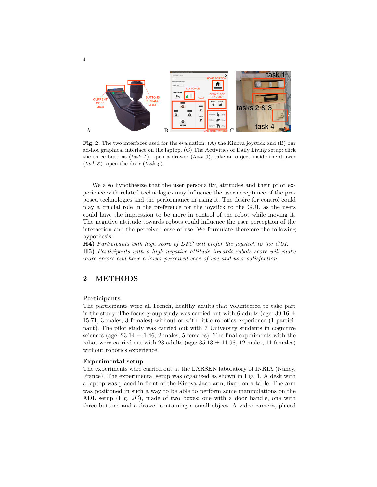

Fig. 2. The two interfaces used for the evaluation: (A) the Kinova joystick and (B) our ad-hoc graphical interface on the laptop. (C) The Activities of Daily Living setup: click the three buttons (task 1), open a drawer (task 2), take an object inside the drawer  $(task 3)$ , open the door  $(task 4)$ .

We also hypothesize that the user personality, attitudes and their prior experience with related technologies may influence the user acceptance of the proposed technologies and the performance in using it. The desire for control could play a crucial role in the preference for the joystick to the GUI, as the users could have the impression to be more in control of the robot while moving it. The negative attitude towards robots could influence the user perception of the interaction and the perceived ease of use. We formulate therefore the following hypothesis:

H4) Participants with high score of DFC will prefer the joystick to the GUI. H5) Participants with a high negative attitude towards robots score will make more errors and have a lower perceived ease of use and user satisfaction.

## 2 METHODS

### Participants

The participants were all French, healthy adults that volunteered to take part in the study. The focus group study was carried out with 6 adults (age: 39.16  $\pm$ 15.71, 3 males, 3 females) without or with little robotics experience (1 participant). The pilot study was carried out with 7 University students in cognitive sciences (age:  $23.14 \pm 1.46$ , 2 males, 5 females). The final experiments with the robot were carried out with 23 adults (age:  $35.13 \pm 11.98$ , 12 males, 11 females) without robotics experience.

#### Experimental setup

The experiments were carried out at the LARSEN laboratory of INRIA (Nancy, France). The experimental setup was organized as shown in Fig. 1. A desk with a laptop was placed in front of the Kinova Jaco arm, fixed on a table. The arm was positioned in such a way to be able to perform some manipulations on the ADL setup (Fig. 2C), made of two boxes: one with a door handle, one with three buttons and a drawer containing a small object. A video camera, placed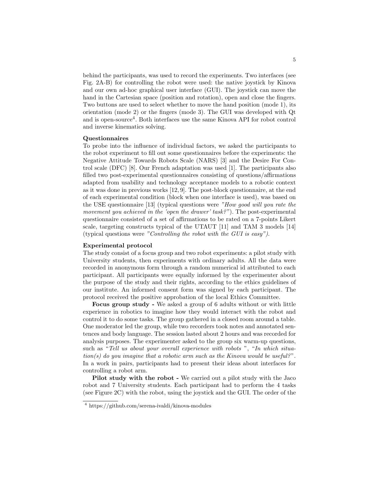behind the participants, was used to record the experiments. Two interfaces (see Fig. 2A-B) for controlling the robot were used: the native joystick by Kinova and our own ad-hoc graphical user interface (GUI). The joystick can move the hand in the Cartesian space (position and rotation), open and close the fingers. Two buttons are used to select whether to move the hand position (mode 1), its orientation (mode 2) or the fingers (mode 3). The GUI was developed with Qt and is open-source<sup>4</sup>. Both interfaces use the same Kinova API for robot control and inverse kinematics solving.

#### Questionnaires

To probe into the influence of individual factors, we asked the participants to the robot experiment to fill out some questionnaires before the experiments: the Negative Attitude Towards Robots Scale (NARS) [3] and the Desire For Control scale (DFC) [8]. Our French adaptation was used [1]. The participants also filled two post-experimental questionnaires consisting of questions/affirmations adapted from usability and technology acceptance models to a robotic context as it was done in previous works [12, 9]. The post-block questionnaire, at the end of each experimental condition (block when one interface is used), was based on the USE questionnaire [13] (typical questions were "How good will you rate the movement you achieved in the 'open the drawer' task?"). The post-experimental questionnaire consisted of a set of affirmations to be rated on a 7-points Likert scale, targeting constructs typical of the UTAUT [11] and TAM 3 models [14] (typical questions were "Controlling the robot with the GUI is easy").

#### Experimental protocol

The study consist of a focus group and two robot experiments: a pilot study with University students, then experiments with ordinary adults. All the data were recorded in anonymous form through a random numerical id attributed to each participant. All participants were equally informed by the experimenter about the purpose of the study and their rights, according to the ethics guidelines of our institute. An informed consent form was signed by each participant. The protocol received the positive approbation of the local Ethics Committee.

Focus group study - We asked a group of 6 adults without or with little experience in robotics to imagine how they would interact with the robot and control it to do some tasks. The group gathered in a closed room around a table. One moderator led the group, while two recorders took notes and annotated sentences and body language. The session lasted about 2 hours and was recorded for analysis purposes. The experimenter asked to the group six warm-up questions, such as "Tell us about your overall experience with robots ", "In which situation(s) do you imagine that a robotic arm such as the Kinova would be useful?". In a work in pairs, participants had to present their ideas about interfaces for controlling a robot arm.

Pilot study with the robot - We carried out a pilot study with the Jaco robot and 7 University students. Each participant had to perform the 4 tasks (see Figure 2C) with the robot, using the joystick and the GUI. The order of the

<sup>4</sup> https://github.com/serena-ivaldi/kinova-modules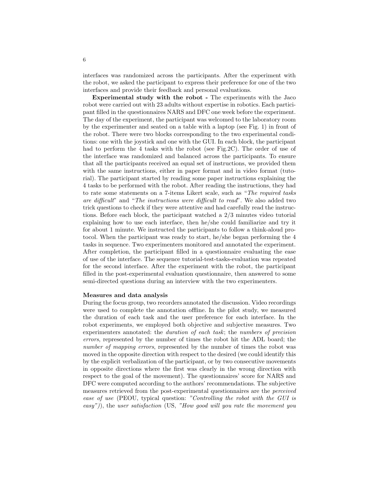interfaces was randomized across the participants. After the experiment with the robot, we asked the participant to express their preference for one of the two interfaces and provide their feedback and personal evaluations.

Experimental study with the robot - The experiments with the Jaco robot were carried out with 23 adults without expertise in robotics. Each participant filled in the questionnaires NARS and DFC one week before the experiment. The day of the experiment, the participant was welcomed to the laboratory room by the experimenter and seated on a table with a laptop (see Fig. 1) in front of the robot. There were two blocks corresponding to the two experimental conditions: one with the joystick and one with the GUI. In each block, the participant had to perform the 4 tasks with the robot (see Fig. 2C). The order of use of the interface was randomized and balanced across the participants. To ensure that all the participants received an equal set of instructions, we provided them with the same instructions, either in paper format and in video format (tutorial). The participant started by reading some paper instructions explaining the 4 tasks to be performed with the robot. After reading the instructions, they had to rate some statements on a 7-items Likert scale, such as "The required tasks are difficult" and "The instructions were difficult to read". We also added two trick questions to check if they were attentive and had carefully read the instructions. Before each block, the participant watched a 2/3 minutes video tutorial explaining how to use each interface, then he/she could familiarize and try it for about 1 minute. We instructed the participants to follow a think-aloud protocol. When the participant was ready to start, he/she began performing the 4 tasks in sequence. Two experimenters monitored and annotated the experiment. After completion, the participant filled in a questionnaire evaluating the ease of use of the interface. The sequence tutorial-test-tasks-evaluation was repeated for the second interface. After the experiment with the robot, the participant filled in the post-experimental evaluation questionnaire, then answered to some semi-directed questions during an interview with the two experimenters.

#### Measures and data analysis

During the focus group, two recorders annotated the discussion. Video recordings were used to complete the annotation offline. In the pilot study, we measured the duration of each task and the user preference for each interface. In the robot experiments, we employed both objective and subjective measures. Two experimenters annotated: the duration of each task; the numbers of precision errors, represented by the number of times the robot hit the ADL board; the number of mapping errors, represented by the number of times the robot was moved in the opposite direction with respect to the desired (we could identify this by the explicit verbalization of the participant, or by two consecutive movements in opposite directions where the first was clearly in the wrong direction with respect to the goal of the movement). The questionnaires' score for NARS and DFC were computed according to the authors' recommendations. The subjective measures retrieved from the post-experimental questionnaires are the perceived ease of use (PEOU, typical question: "Controlling the robot with the GUI is easy")), the user satisfaction (US, "How good will you rate the movement you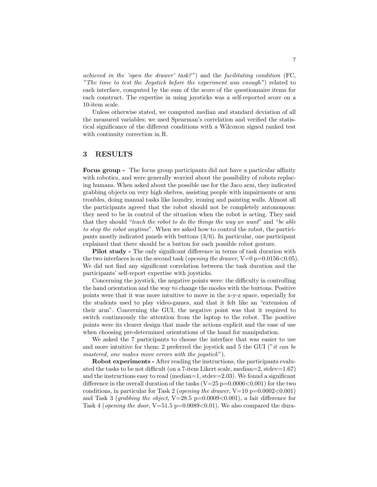achieved in the 'open the drawer' task?") and the facilitating condition  $(FC,$ "The time to test the Joystick before the experiment was enough") related to each interface, computed by the sum of the score of the questionnaire items for each construct. The expertise in using joysticks was a self-reported score on a 10-item scale.

Unless otherwise stated, we computed median and standard deviation of all the measured variables; we used Spearman's correlation and verified the statistical significance of the different conditions with a Wilcoxon signed ranked test with continuity correction in R.

## 3 RESULTS

Focus group - The focus group participants did not have a particular affinity with robotics, and were generally worried about the possibility of robots replacing humans. When asked about the possible use for the Jaco arm, they indicated grabbing objects on very high shelves, assisting people with impairments or arm troubles, doing manual tasks like laundry, ironing and painting walls. Almost all the participants agreed that the robot should not be completely autonomous: they need to be in control of the situation when the robot is acting. They said that they should "teach the robot to do the things the way we want" and "be able to stop the robot anytime". When we asked how to control the robot, the participants mostly indicated panels with buttons (3/6). In particular, one participant explained that there should be a button for each possible robot gesture.

Pilot study - The only significant difference in terms of task duration with the two interfaces is on the second task (*opening the drawer*,  $V=0$   $p=0.0156<0.05$ ). We did not find any significant correlation between the task duration and the participants' self-report expertise with joysticks.

Concerning the joystick, the negative points were: the difficulty in controlling the hand orientation and the way to change the modes with the buttons. Positive points were that it was more intuitive to move in the x-y-z space, especially for the students used to play video-games, and that it felt like an "extension of their arm". Concerning the GUI, the negative point was that it required to switch continuously the attention from the laptop to the robot. The positive points were its clearer design that made the actions explicit and the ease of use when choosing pre-determined orientations of the hand for manipulation.

We asked the 7 participants to choose the interface that was easier to use and more intuitive for them: 2 preferred the joystick and 5 the GUI ("it can be mastered, one makes more errors with the joystick").

Robot experiments - After reading the instructions, the participants evaluated the tasks to be not difficult (on a 7-item Likert scale, median=2, stdev=1.67) and the instructions easy to read (median=1, stdev=2.03). We found a significant difference in the overall duration of the tasks  $(V=25 \text{ p}=0.0006<0.001)$  for the two conditions, in particular for Task 2 (*opening the drawer*,  $V=10$  p=0.0002 $<$ 0.001) and Task 3 (*grabbing the object*,  $V=28.5$  p=0.0009 < 0.001), a fair difference for Task 4 (opening the door,  $V=51.5$  p=0.0089<0.01). We also compared the dura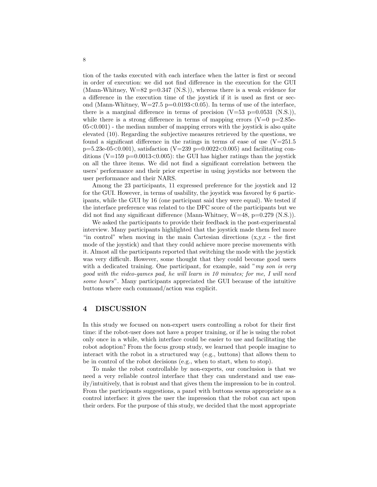tion of the tasks executed with each interface when the latter is first or second in order of execution: we did not find difference in the execution for the GUI (Mann-Whitney,  $W=82$  p=0.347 (N.S.)), whereas there is a weak evidence for a difference in the execution time of the joystick if it is used as first or second (Mann-Whitney,  $W=27.5$  p=0.0193<0.05). In terms of use of the interface, there is a marginal difference in terms of precision  $(V=53 \text{ p}=0.0531 \text{ (N.S.)}),$ while there is a strong difference in terms of mapping errors  $(V=0)$  p=2.85e- $05<0.001$ ) - the median number of mapping errors with the joystick is also quite elevated (10). Regarding the subjective measures retrieved by the questions, we found a significant difference in the ratings in terms of ease of use  $(V=251.5$  $p=5.23e-05<0.001$ , satisfaction (V=239 p=0.0022 $<0.005$ ) and facilitating conditions (V=159 p=0.0013<0.005): the GUI has higher ratings than the joystick on all the three items. We did not find a significant correlation between the users' performance and their prior expertise in using joysticks nor between the user performance and their NARS.

Among the 23 participants, 11 expressed preference for the joystick and 12 for the GUI. However, in terms of usability, the joystick was favored by 6 participants, while the GUI by 16 (one participant said they were equal). We tested if the interface preference was related to the DFC score of the participants but we did not find any significant difference (Mann-Whitney,  $W=48$ , p=0.279 (N.S.)).

We asked the participants to provide their feedback in the post-experimental interview. Many participants highlighted that the joystick made them feel more "in control" when moving in the main Cartesian directions (x,y,z - the first mode of the joystick) and that they could achieve more precise movements with it. Almost all the participants reported that switching the mode with the joystick was very difficult. However, some thought that they could become good users with a dedicated training. One participant, for example, said " $my son is very$ good with the video-games pad, he will learn in 10 minutes; for me, I will need some hours". Many participants appreciated the GUI because of the intuitive buttons where each command/action was explicit.

## 4 DISCUSSION

In this study we focused on non-expert users controlling a robot for their first time: if the robot-user does not have a proper training, or if he is using the robot only once in a while, which interface could be easier to use and facilitating the robot adoption? From the focus group study, we learned that people imagine to interact with the robot in a structured way (e.g., buttons) that allows them to be in control of the robot decisions (e.g., when to start, when to stop).

To make the robot controllable by non-experts, our conclusion is that we need a very reliable control interface that they can understand and use easily/intuitively, that is robust and that gives them the impression to be in control. From the participants suggestions, a panel with buttons seems appropriate as a control interface: it gives the user the impression that the robot can act upon their orders. For the purpose of this study, we decided that the most appropriate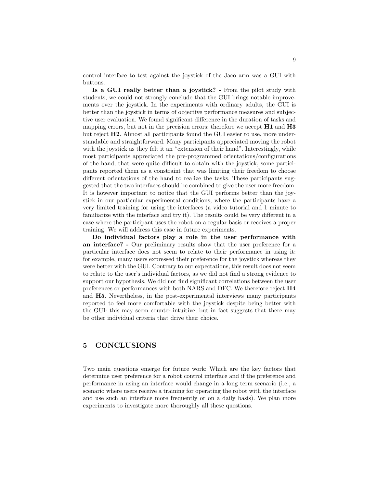control interface to test against the joystick of the Jaco arm was a GUI with buttons.

Is a GUI really better than a joystick? - From the pilot study with students, we could not strongly conclude that the GUI brings notable improvements over the joystick. In the experiments with ordinary adults, the GUI is better than the joystick in terms of objective performance measures and subjective user evaluation. We found significant difference in the duration of tasks and mapping errors, but not in the precision errors: therefore we accept **H1** and **H3** but reject H2. Almost all participants found the GUI easier to use, more understandable and straightforward. Many participants appreciated moving the robot with the joystick as they felt it an "extension of their hand". Interestingly, while most participants appreciated the pre-programmed orientations/configurations of the hand, that were quite difficult to obtain with the joystick, some participants reported them as a constraint that was limiting their freedom to choose different orientations of the hand to realize the tasks. These participants suggested that the two interfaces should be combined to give the user more freedom. It is however important to notice that the GUI performs better than the joystick in our particular experimental conditions, where the participants have a very limited training for using the interfaces (a video tutorial and 1 minute to familiarize with the interface and try it). The results could be very different in a case where the participant uses the robot on a regular basis or receives a proper training. We will address this case in future experiments.

Do individual factors play a role in the user performance with an interface? - Our preliminary results show that the user preference for a particular interface does not seem to relate to their performance in using it: for example, many users expressed their preference for the joystick whereas they were better with the GUI. Contrary to our expectations, this result does not seem to relate to the user's individual factors, as we did not find a strong evidence to support our hypothesis. We did not find significant correlations between the user preferences or performances with both NARS and DFC. We therefore reject H4 and H5. Nevertheless, in the post-experimental interviews many participants reported to feel more comfortable with the joystick despite being better with the GUI: this may seem counter-intuitive, but in fact suggests that there may be other individual criteria that drive their choice.

## 5 CONCLUSIONS

Two main questions emerge for future work: Which are the key factors that determine user preference for a robot control interface and if the preference and performance in using an interface would change in a long term scenario (i.e., a scenario where users receive a training for operating the robot with the interface and use such an interface more frequently or on a daily basis). We plan more experiments to investigate more thoroughly all these questions.